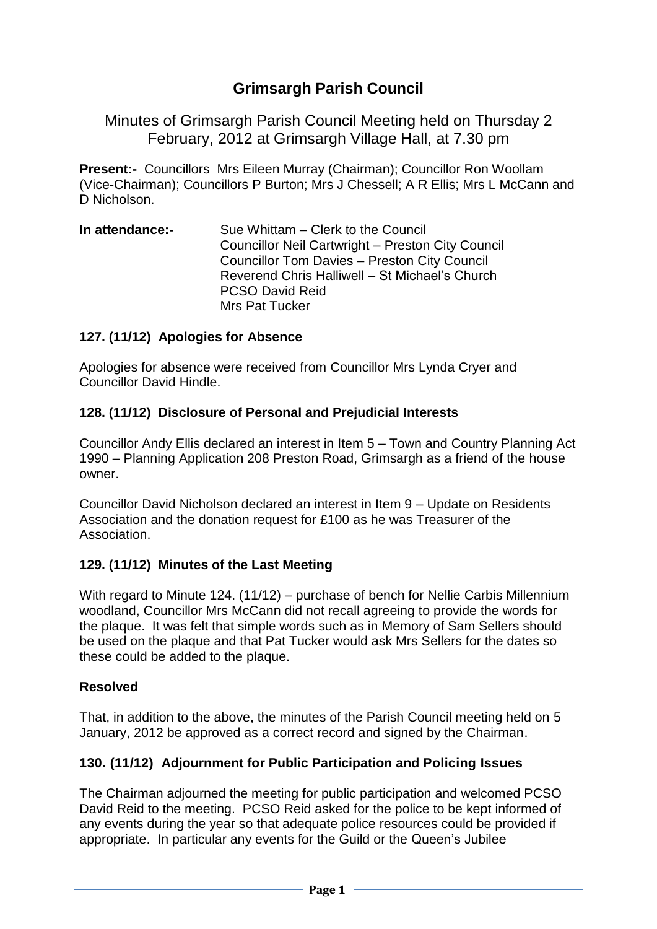# **Grimsargh Parish Council**

Minutes of Grimsargh Parish Council Meeting held on Thursday 2 February, 2012 at Grimsargh Village Hall, at 7.30 pm

**Present:-** Councillors Mrs Eileen Murray (Chairman); Councillor Ron Woollam (Vice-Chairman); Councillors P Burton; Mrs J Chessell; A R Ellis; Mrs L McCann and D Nicholson.

**In attendance:-** Sue Whittam – Clerk to the Council Councillor Neil Cartwright – Preston City Council Councillor Tom Davies – Preston City Council Reverend Chris Halliwell – St Michael's Church PCSO David Reid Mrs Pat Tucker

#### **127. (11/12) Apologies for Absence**

Apologies for absence were received from Councillor Mrs Lynda Cryer and Councillor David Hindle.

#### **128. (11/12) Disclosure of Personal and Prejudicial Interests**

Councillor Andy Ellis declared an interest in Item 5 – Town and Country Planning Act 1990 – Planning Application 208 Preston Road, Grimsargh as a friend of the house owner.

Councillor David Nicholson declared an interest in Item 9 – Update on Residents Association and the donation request for £100 as he was Treasurer of the Association.

### **129. (11/12) Minutes of the Last Meeting**

With regard to Minute 124. (11/12) – purchase of bench for Nellie Carbis Millennium woodland, Councillor Mrs McCann did not recall agreeing to provide the words for the plaque. It was felt that simple words such as in Memory of Sam Sellers should be used on the plaque and that Pat Tucker would ask Mrs Sellers for the dates so these could be added to the plaque.

### **Resolved**

That, in addition to the above, the minutes of the Parish Council meeting held on 5 January, 2012 be approved as a correct record and signed by the Chairman.

### **130. (11/12) Adjournment for Public Participation and Policing Issues**

The Chairman adjourned the meeting for public participation and welcomed PCSO David Reid to the meeting. PCSO Reid asked for the police to be kept informed of any events during the year so that adequate police resources could be provided if appropriate. In particular any events for the Guild or the Queen's Jubilee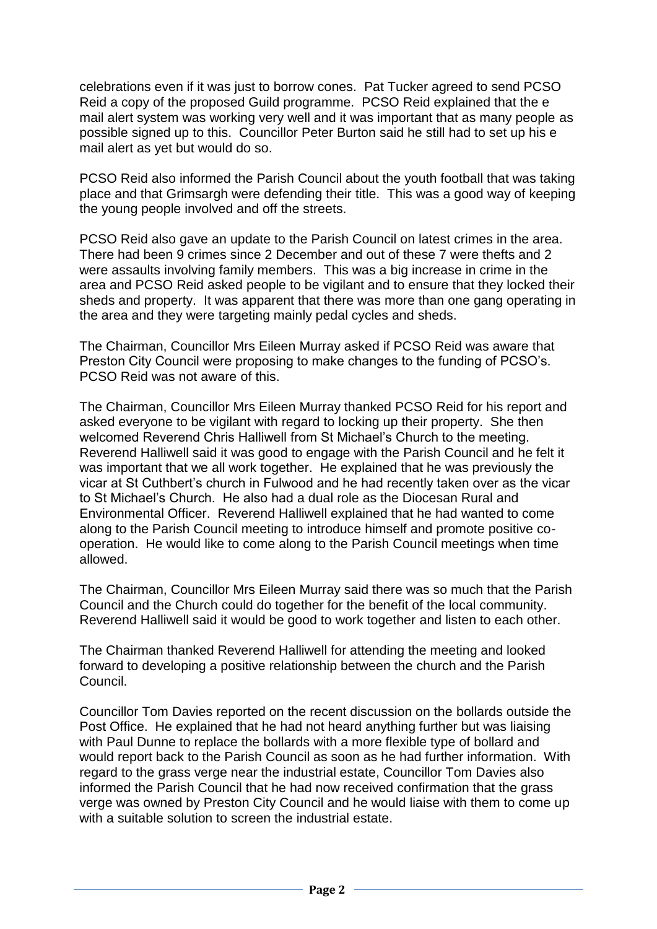celebrations even if it was just to borrow cones. Pat Tucker agreed to send PCSO Reid a copy of the proposed Guild programme. PCSO Reid explained that the e mail alert system was working very well and it was important that as many people as possible signed up to this. Councillor Peter Burton said he still had to set up his e mail alert as yet but would do so.

PCSO Reid also informed the Parish Council about the youth football that was taking place and that Grimsargh were defending their title. This was a good way of keeping the young people involved and off the streets.

PCSO Reid also gave an update to the Parish Council on latest crimes in the area. There had been 9 crimes since 2 December and out of these 7 were thefts and 2 were assaults involving family members. This was a big increase in crime in the area and PCSO Reid asked people to be vigilant and to ensure that they locked their sheds and property. It was apparent that there was more than one gang operating in the area and they were targeting mainly pedal cycles and sheds.

The Chairman, Councillor Mrs Eileen Murray asked if PCSO Reid was aware that Preston City Council were proposing to make changes to the funding of PCSO's. PCSO Reid was not aware of this.

The Chairman, Councillor Mrs Eileen Murray thanked PCSO Reid for his report and asked everyone to be vigilant with regard to locking up their property. She then welcomed Reverend Chris Halliwell from St Michael's Church to the meeting. Reverend Halliwell said it was good to engage with the Parish Council and he felt it was important that we all work together. He explained that he was previously the vicar at St Cuthbert's church in Fulwood and he had recently taken over as the vicar to St Michael's Church. He also had a dual role as the Diocesan Rural and Environmental Officer. Reverend Halliwell explained that he had wanted to come along to the Parish Council meeting to introduce himself and promote positive cooperation. He would like to come along to the Parish Council meetings when time allowed.

The Chairman, Councillor Mrs Eileen Murray said there was so much that the Parish Council and the Church could do together for the benefit of the local community. Reverend Halliwell said it would be good to work together and listen to each other.

The Chairman thanked Reverend Halliwell for attending the meeting and looked forward to developing a positive relationship between the church and the Parish Council.

Councillor Tom Davies reported on the recent discussion on the bollards outside the Post Office. He explained that he had not heard anything further but was liaising with Paul Dunne to replace the bollards with a more flexible type of bollard and would report back to the Parish Council as soon as he had further information. With regard to the grass verge near the industrial estate, Councillor Tom Davies also informed the Parish Council that he had now received confirmation that the grass verge was owned by Preston City Council and he would liaise with them to come up with a suitable solution to screen the industrial estate.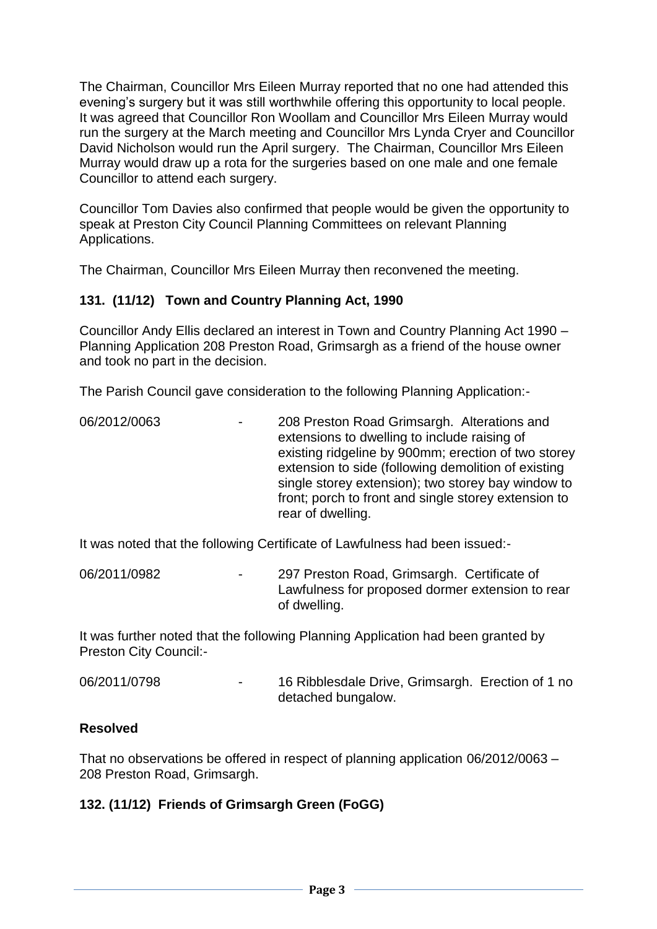The Chairman, Councillor Mrs Eileen Murray reported that no one had attended this evening's surgery but it was still worthwhile offering this opportunity to local people. It was agreed that Councillor Ron Woollam and Councillor Mrs Eileen Murray would run the surgery at the March meeting and Councillor Mrs Lynda Cryer and Councillor David Nicholson would run the April surgery. The Chairman, Councillor Mrs Eileen Murray would draw up a rota for the surgeries based on one male and one female Councillor to attend each surgery.

Councillor Tom Davies also confirmed that people would be given the opportunity to speak at Preston City Council Planning Committees on relevant Planning Applications.

The Chairman, Councillor Mrs Eileen Murray then reconvened the meeting.

### **131. (11/12) Town and Country Planning Act, 1990**

Councillor Andy Ellis declared an interest in Town and Country Planning Act 1990 – Planning Application 208 Preston Road, Grimsargh as a friend of the house owner and took no part in the decision.

The Parish Council gave consideration to the following Planning Application:-

06/2012/0063 - 208 Preston Road Grimsargh. Alterations and extensions to dwelling to include raising of existing ridgeline by 900mm; erection of two storey extension to side (following demolition of existing single storey extension); two storey bay window to front; porch to front and single storey extension to rear of dwelling.

It was noted that the following Certificate of Lawfulness had been issued:-

06/2011/0982 - 297 Preston Road, Grimsargh. Certificate of Lawfulness for proposed dormer extension to rear of dwelling.

It was further noted that the following Planning Application had been granted by Preston City Council:-

06/2011/0798 - 16 Ribblesdale Drive, Grimsargh. Erection of 1 no detached bungalow.

#### **Resolved**

That no observations be offered in respect of planning application 06/2012/0063 – 208 Preston Road, Grimsargh.

### **132. (11/12) Friends of Grimsargh Green (FoGG)**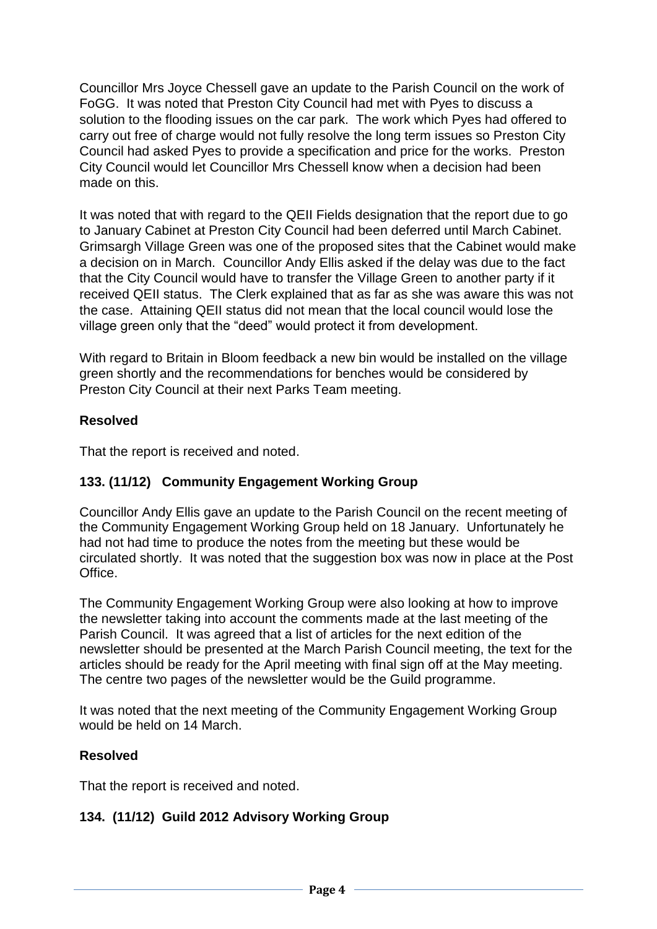Councillor Mrs Joyce Chessell gave an update to the Parish Council on the work of FoGG. It was noted that Preston City Council had met with Pyes to discuss a solution to the flooding issues on the car park. The work which Pyes had offered to carry out free of charge would not fully resolve the long term issues so Preston City Council had asked Pyes to provide a specification and price for the works. Preston City Council would let Councillor Mrs Chessell know when a decision had been made on this.

It was noted that with regard to the QEII Fields designation that the report due to go to January Cabinet at Preston City Council had been deferred until March Cabinet. Grimsargh Village Green was one of the proposed sites that the Cabinet would make a decision on in March. Councillor Andy Ellis asked if the delay was due to the fact that the City Council would have to transfer the Village Green to another party if it received QEII status. The Clerk explained that as far as she was aware this was not the case. Attaining QEII status did not mean that the local council would lose the village green only that the "deed" would protect it from development.

With regard to Britain in Bloom feedback a new bin would be installed on the village green shortly and the recommendations for benches would be considered by Preston City Council at their next Parks Team meeting.

### **Resolved**

That the report is received and noted.

### **133. (11/12) Community Engagement Working Group**

Councillor Andy Ellis gave an update to the Parish Council on the recent meeting of the Community Engagement Working Group held on 18 January. Unfortunately he had not had time to produce the notes from the meeting but these would be circulated shortly. It was noted that the suggestion box was now in place at the Post Office.

The Community Engagement Working Group were also looking at how to improve the newsletter taking into account the comments made at the last meeting of the Parish Council. It was agreed that a list of articles for the next edition of the newsletter should be presented at the March Parish Council meeting, the text for the articles should be ready for the April meeting with final sign off at the May meeting. The centre two pages of the newsletter would be the Guild programme.

It was noted that the next meeting of the Community Engagement Working Group would be held on 14 March.

### **Resolved**

That the report is received and noted.

### **134. (11/12) Guild 2012 Advisory Working Group**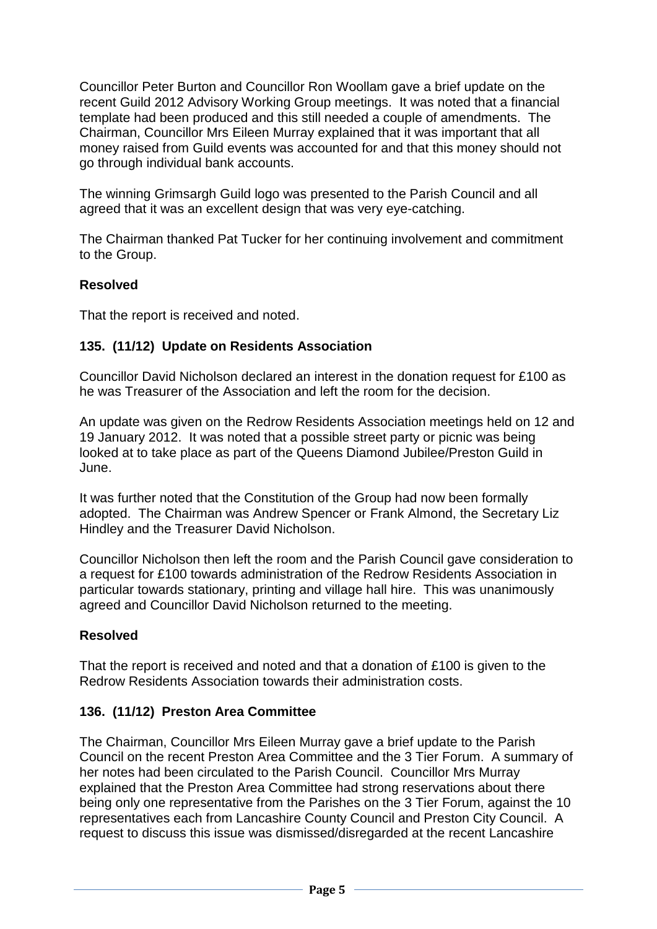Councillor Peter Burton and Councillor Ron Woollam gave a brief update on the recent Guild 2012 Advisory Working Group meetings. It was noted that a financial template had been produced and this still needed a couple of amendments. The Chairman, Councillor Mrs Eileen Murray explained that it was important that all money raised from Guild events was accounted for and that this money should not go through individual bank accounts.

The winning Grimsargh Guild logo was presented to the Parish Council and all agreed that it was an excellent design that was very eye-catching.

The Chairman thanked Pat Tucker for her continuing involvement and commitment to the Group.

### **Resolved**

That the report is received and noted.

### **135. (11/12) Update on Residents Association**

Councillor David Nicholson declared an interest in the donation request for £100 as he was Treasurer of the Association and left the room for the decision.

An update was given on the Redrow Residents Association meetings held on 12 and 19 January 2012. It was noted that a possible street party or picnic was being looked at to take place as part of the Queens Diamond Jubilee/Preston Guild in June.

It was further noted that the Constitution of the Group had now been formally adopted. The Chairman was Andrew Spencer or Frank Almond, the Secretary Liz Hindley and the Treasurer David Nicholson.

Councillor Nicholson then left the room and the Parish Council gave consideration to a request for £100 towards administration of the Redrow Residents Association in particular towards stationary, printing and village hall hire. This was unanimously agreed and Councillor David Nicholson returned to the meeting.

### **Resolved**

That the report is received and noted and that a donation of £100 is given to the Redrow Residents Association towards their administration costs.

### **136. (11/12) Preston Area Committee**

The Chairman, Councillor Mrs Eileen Murray gave a brief update to the Parish Council on the recent Preston Area Committee and the 3 Tier Forum. A summary of her notes had been circulated to the Parish Council. Councillor Mrs Murray explained that the Preston Area Committee had strong reservations about there being only one representative from the Parishes on the 3 Tier Forum, against the 10 representatives each from Lancashire County Council and Preston City Council. A request to discuss this issue was dismissed/disregarded at the recent Lancashire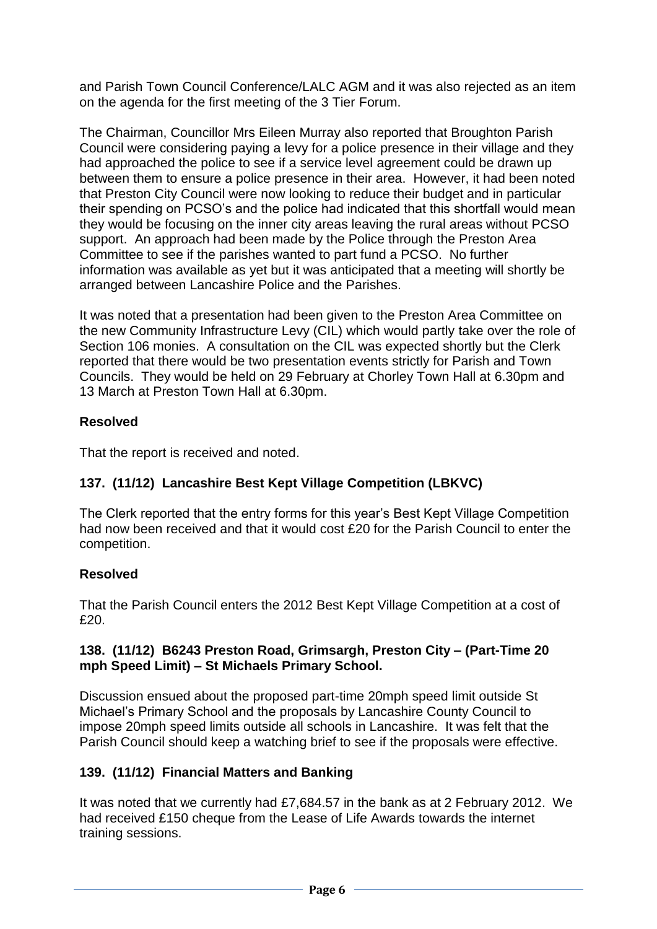and Parish Town Council Conference/LALC AGM and it was also rejected as an item on the agenda for the first meeting of the 3 Tier Forum.

The Chairman, Councillor Mrs Eileen Murray also reported that Broughton Parish Council were considering paying a levy for a police presence in their village and they had approached the police to see if a service level agreement could be drawn up between them to ensure a police presence in their area. However, it had been noted that Preston City Council were now looking to reduce their budget and in particular their spending on PCSO's and the police had indicated that this shortfall would mean they would be focusing on the inner city areas leaving the rural areas without PCSO support. An approach had been made by the Police through the Preston Area Committee to see if the parishes wanted to part fund a PCSO. No further information was available as yet but it was anticipated that a meeting will shortly be arranged between Lancashire Police and the Parishes.

It was noted that a presentation had been given to the Preston Area Committee on the new Community Infrastructure Levy (CIL) which would partly take over the role of Section 106 monies. A consultation on the CIL was expected shortly but the Clerk reported that there would be two presentation events strictly for Parish and Town Councils. They would be held on 29 February at Chorley Town Hall at 6.30pm and 13 March at Preston Town Hall at 6.30pm.

### **Resolved**

That the report is received and noted.

## **137. (11/12) Lancashire Best Kept Village Competition (LBKVC)**

The Clerk reported that the entry forms for this year's Best Kept Village Competition had now been received and that it would cost £20 for the Parish Council to enter the competition.

## **Resolved**

That the Parish Council enters the 2012 Best Kept Village Competition at a cost of £20.

### **138. (11/12) B6243 Preston Road, Grimsargh, Preston City – (Part-Time 20 mph Speed Limit) – St Michaels Primary School.**

Discussion ensued about the proposed part-time 20mph speed limit outside St Michael's Primary School and the proposals by Lancashire County Council to impose 20mph speed limits outside all schools in Lancashire. It was felt that the Parish Council should keep a watching brief to see if the proposals were effective.

## **139. (11/12) Financial Matters and Banking**

It was noted that we currently had £7,684.57 in the bank as at 2 February 2012. We had received £150 cheque from the Lease of Life Awards towards the internet training sessions.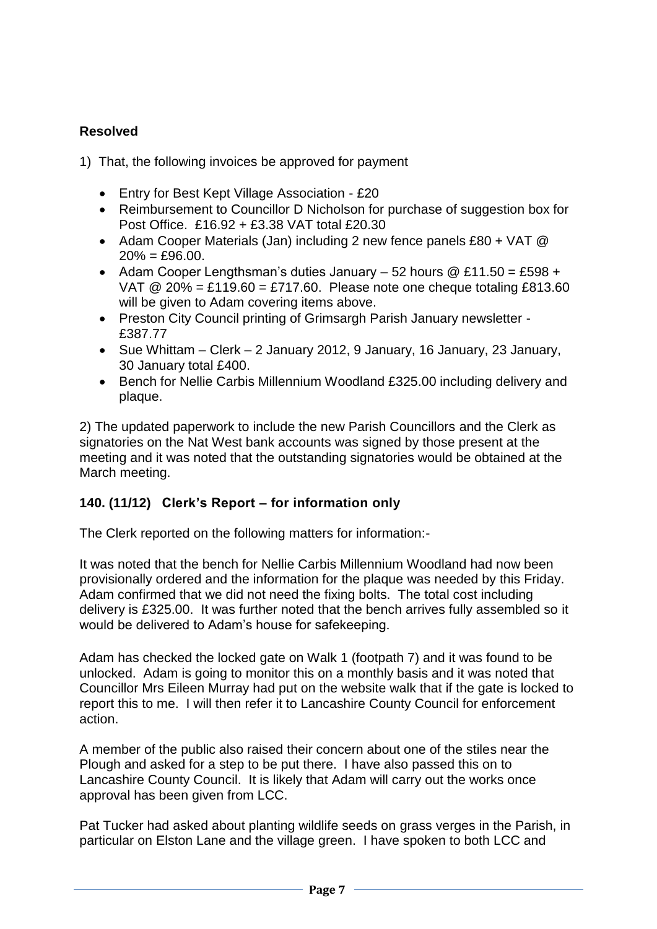### **Resolved**

- 1) That, the following invoices be approved for payment
	- Entry for Best Kept Village Association £20
	- Reimbursement to Councillor D Nicholson for purchase of suggestion box for Post Office. £16.92 + £3.38 VAT total £20.30
	- Adam Cooper Materials (Jan) including 2 new fence panels  $£80 + VAT$  @  $20\% = £96.00$ .
	- Adam Cooper Lengthsman's duties January 52 hours  $@E11.50 = £598 +$ VAT  $\omega$  20% = £119.60 = £717.60. Please note one cheque totaling £813.60 will be given to Adam covering items above.
	- Preston City Council printing of Grimsargh Parish January newsletter £387.77
	- Sue Whittam Clerk 2 January 2012, 9 January, 16 January, 23 January, 30 January total £400.
	- Bench for Nellie Carbis Millennium Woodland £325.00 including delivery and plaque.

2) The updated paperwork to include the new Parish Councillors and the Clerk as signatories on the Nat West bank accounts was signed by those present at the meeting and it was noted that the outstanding signatories would be obtained at the March meeting.

### **140. (11/12) Clerk's Report – for information only**

The Clerk reported on the following matters for information:-

It was noted that the bench for Nellie Carbis Millennium Woodland had now been provisionally ordered and the information for the plaque was needed by this Friday. Adam confirmed that we did not need the fixing bolts. The total cost including delivery is £325.00. It was further noted that the bench arrives fully assembled so it would be delivered to Adam's house for safekeeping.

Adam has checked the locked gate on Walk 1 (footpath 7) and it was found to be unlocked. Adam is going to monitor this on a monthly basis and it was noted that Councillor Mrs Eileen Murray had put on the website walk that if the gate is locked to report this to me. I will then refer it to Lancashire County Council for enforcement action.

A member of the public also raised their concern about one of the stiles near the Plough and asked for a step to be put there. I have also passed this on to Lancashire County Council. It is likely that Adam will carry out the works once approval has been given from LCC.

Pat Tucker had asked about planting wildlife seeds on grass verges in the Parish, in particular on Elston Lane and the village green. I have spoken to both LCC and